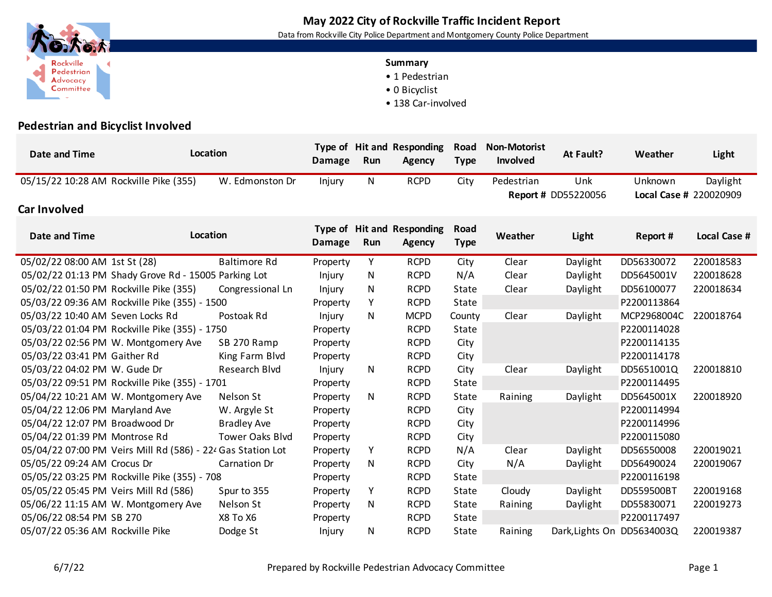## **May 2022 City of Rockville Traffic Incident Report**

Data from Rockville City Police Department and Montgomery County Police Department

## **Summary**

- 1 Pedestrian
- 0 Bicyclist
- 138 Car-involved



Rockville

Pedestrian Advocacy Committee

 $\blacktriangleleft$ 

| <b>Date and Time</b>                                        | Location |                        | <b>Damage</b> | Run         | Type of Hit and Responding<br><b>Agency</b> | Road<br><b>Type</b> | <b>Non-Motorist</b><br>Involved | At Fault?                         | Weather     | Light                              |
|-------------------------------------------------------------|----------|------------------------|---------------|-------------|---------------------------------------------|---------------------|---------------------------------|-----------------------------------|-------------|------------------------------------|
| 05/15/22 10:28 AM Rockville Pike (355)                      |          | W. Edmonston Dr        | Injury        | N           | <b>RCPD</b>                                 | City                | Pedestrian                      | Unk<br><b>Report # DD55220056</b> | Unknown     | Daylight<br>Local Case # 220020909 |
| Car Involved                                                |          |                        |               |             |                                             |                     |                                 |                                   |             |                                    |
| Date and Time                                               | Location |                        | <b>Damage</b> | Run         | Type of Hit and Responding<br>Agency        | Road<br><b>Type</b> | Weather                         | Light                             | Report #    | Local Case #                       |
| 05/02/22 08:00 AM 1st St (28)                               |          | <b>Baltimore Rd</b>    | Property      | Y           | <b>RCPD</b>                                 | City                | Clear                           | Daylight                          | DD56330072  | 220018583                          |
| 05/02/22 01:13 PM Shady Grove Rd - 15005 Parking Lot        |          |                        | Injury        | N           | <b>RCPD</b>                                 | N/A                 | Clear                           | Daylight                          | DD5645001V  | 220018628                          |
| 05/02/22 01:50 PM Rockville Pike (355)                      |          | Congressional Ln       | Injury        | N           | <b>RCPD</b>                                 | State               | Clear                           | Daylight                          | DD56100077  | 220018634                          |
| 05/03/22 09:36 AM Rockville Pike (355) - 1500               |          | Property               | Y             | <b>RCPD</b> | State                                       |                     |                                 | P2200113864                       |             |                                    |
| 05/03/22 10:40 AM Seven Locks Rd                            |          | Postoak Rd             | Injury        | N           | <b>MCPD</b>                                 | County              | Clear                           | Daylight                          | MCP2968004C | 220018764                          |
| 05/03/22 01:04 PM Rockville Pike (355) - 1750               |          |                        | Property      |             | <b>RCPD</b>                                 | State               |                                 |                                   | P2200114028 |                                    |
| 05/03/22 02:56 PM W. Montgomery Ave                         |          | SB 270 Ramp            | Property      |             | <b>RCPD</b>                                 | City                |                                 |                                   | P2200114135 |                                    |
| 05/03/22 03:41 PM Gaither Rd                                |          | King Farm Blvd         | Property      |             | <b>RCPD</b>                                 | City                |                                 |                                   | P2200114178 |                                    |
| 05/03/22 04:02 PM W. Gude Dr                                |          | <b>Research Blvd</b>   | Injury        | N           | <b>RCPD</b>                                 | City                | Clear                           | Daylight                          | DD5651001Q  | 220018810                          |
| 05/03/22 09:51 PM Rockville Pike (355) - 1701               |          |                        | Property      |             | <b>RCPD</b>                                 | State               |                                 |                                   | P2200114495 |                                    |
| 05/04/22 10:21 AM W. Montgomery Ave                         |          | Nelson St              | Property      | N           | <b>RCPD</b>                                 | State               | Raining                         | Daylight                          | DD5645001X  | 220018920                          |
| 05/04/22 12:06 PM Maryland Ave                              |          | W. Argyle St           | Property      |             | <b>RCPD</b>                                 | City                |                                 |                                   | P2200114994 |                                    |
| 05/04/22 12:07 PM Broadwood Dr                              |          | <b>Bradley Ave</b>     | Property      |             | <b>RCPD</b>                                 | City                |                                 |                                   | P2200114996 |                                    |
| 05/04/22 01:39 PM Montrose Rd                               |          | <b>Tower Oaks Blvd</b> | Property      |             | <b>RCPD</b>                                 | City                |                                 |                                   | P2200115080 |                                    |
| 05/04/22 07:00 PM Veirs Mill Rd (586) - 224 Gas Station Lot |          |                        | Property      | Y           | <b>RCPD</b>                                 | N/A                 | Clear                           | Daylight                          | DD56550008  | 220019021                          |
| 05/05/22 09:24 AM Crocus Dr                                 |          | Carnation Dr           | Property      | N           | <b>RCPD</b>                                 | City                | N/A                             | Daylight                          | DD56490024  | 220019067                          |
| 05/05/22 03:25 PM Rockville Pike (355) - 708                |          |                        | Property      |             | <b>RCPD</b>                                 | State               |                                 |                                   | P2200116198 |                                    |
| 05/05/22 05:45 PM Veirs Mill Rd (586)                       |          | Spur to 355            | Property      | Y           | <b>RCPD</b>                                 | State               | Cloudy                          | Daylight                          | DD559500BT  | 220019168                          |
| 05/06/22 11:15 AM W. Montgomery Ave                         |          | Nelson St              | Property      | N           | <b>RCPD</b>                                 | State               | Raining                         | Daylight                          | DD55830071  | 220019273                          |
| 05/06/22 08:54 PM SB 270                                    |          | X8 To X6               | Property      |             | <b>RCPD</b>                                 | State               |                                 |                                   | P2200117497 |                                    |
| 05/07/22 05:36 AM Rockville Pike                            |          | Dodge St               | Injury        | N           | <b>RCPD</b>                                 | State               | Raining                         | Dark, Lights On DD5634003Q        |             | 220019387                          |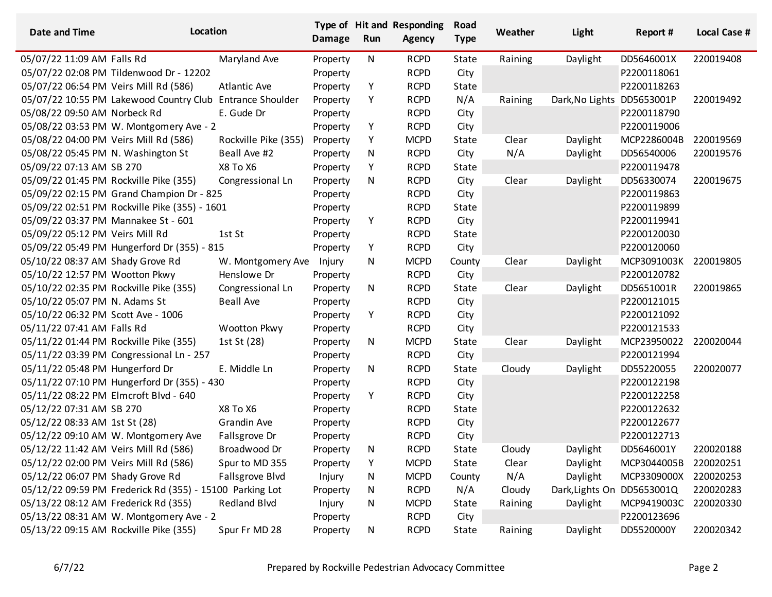| <b>Date and Time</b>                   | Location                                                  |                      | <b>Damage</b> | Run | Type of Hit and Responding<br><b>Agency</b> | Road<br><b>Type</b> | Weather | Light           | Report #    | <b>Local Case #</b> |
|----------------------------------------|-----------------------------------------------------------|----------------------|---------------|-----|---------------------------------------------|---------------------|---------|-----------------|-------------|---------------------|
| 05/07/22 11:09 AM Falls Rd             |                                                           | Maryland Ave         | Property      | N   | <b>RCPD</b>                                 | State               | Raining | Daylight        | DD5646001X  | 220019408           |
|                                        | 05/07/22 02:08 PM Tildenwood Dr - 12202                   |                      | Property      |     | <b>RCPD</b>                                 | City                |         |                 | P2200118061 |                     |
| 05/07/22 06:54 PM Veirs Mill Rd (586)  |                                                           | <b>Atlantic Ave</b>  | Property      | Υ   | <b>RCPD</b>                                 | State               |         |                 | P2200118263 |                     |
|                                        | 05/07/22 10:55 PM Lakewood Country Club Entrance Shoulder |                      | Property      | Υ   | <b>RCPD</b>                                 | N/A                 | Raining | Dark, No Lights | DD5653001P  | 220019492           |
| 05/08/22 09:50 AM Norbeck Rd           |                                                           | E. Gude Dr           | Property      |     | <b>RCPD</b>                                 | City                |         |                 | P2200118790 |                     |
|                                        | 05/08/22 03:53 PM W. Montgomery Ave - 2                   |                      | Property      | Υ   | <b>RCPD</b>                                 | City                |         |                 | P2200119006 |                     |
| 05/08/22 04:00 PM Veirs Mill Rd (586)  |                                                           | Rockville Pike (355) | Property      | Υ   | <b>MCPD</b>                                 | State               | Clear   | Daylight        | MCP2286004B | 220019569           |
| 05/08/22 05:45 PM N. Washington St     |                                                           | Beall Ave #2         | Property      | N   | <b>RCPD</b>                                 | City                | N/A     | Daylight        | DD56540006  | 220019576           |
| 05/09/22 07:13 AM SB 270               |                                                           | X8 To X6             | Property      | Υ   | <b>RCPD</b>                                 | State               |         |                 | P2200119478 |                     |
| 05/09/22 01:45 PM Rockville Pike (355) |                                                           | Congressional Ln     | Property      | N   | <b>RCPD</b>                                 | City                | Clear   | Daylight        | DD56330074  | 220019675           |
|                                        | 05/09/22 02:15 PM Grand Champion Dr - 825                 |                      | Property      |     | <b>RCPD</b>                                 | City                |         |                 | P2200119863 |                     |
|                                        | 05/09/22 02:51 PM Rockville Pike (355) - 1601             |                      | Property      |     | <b>RCPD</b>                                 | State               |         |                 | P2200119899 |                     |
| 05/09/22 03:37 PM Mannakee St - 601    |                                                           |                      | Property      | Υ   | <b>RCPD</b>                                 | City                |         |                 | P2200119941 |                     |
| 05/09/22 05:12 PM Veirs Mill Rd        |                                                           | 1st St               | Property      |     | <b>RCPD</b>                                 | State               |         |                 | P2200120030 |                     |
|                                        | 05/09/22 05:49 PM Hungerford Dr (355) - 815               |                      | Property      | Υ   | <b>RCPD</b>                                 | City                |         |                 | P2200120060 |                     |
| 05/10/22 08:37 AM Shady Grove Rd       |                                                           | W. Montgomery Ave    | Injury        | N   | <b>MCPD</b>                                 | County              | Clear   | Daylight        | MCP3091003K | 220019805           |
| 05/10/22 12:57 PM Wootton Pkwy         |                                                           | Henslowe Dr          | Property      |     | <b>RCPD</b>                                 | City                |         |                 | P2200120782 |                     |
|                                        | 05/10/22 02:35 PM Rockville Pike (355)                    | Congressional Ln     | Property      | N   | <b>RCPD</b>                                 | State               | Clear   | Daylight        | DD5651001R  | 220019865           |
| 05/10/22 05:07 PM N. Adams St          |                                                           | <b>Beall Ave</b>     | Property      |     | <b>RCPD</b>                                 | City                |         |                 | P2200121015 |                     |
| 05/10/22 06:32 PM Scott Ave - 1006     |                                                           |                      | Property      | Y   | <b>RCPD</b>                                 | City                |         |                 | P2200121092 |                     |
| 05/11/22 07:41 AM Falls Rd             |                                                           | Wootton Pkwy         | Property      |     | <b>RCPD</b>                                 | City                |         |                 | P2200121533 |                     |
| 05/11/22 01:44 PM Rockville Pike (355) |                                                           | 1st St (28)          | Property      | N   | <b>MCPD</b>                                 | State               | Clear   | Daylight        | MCP23950022 | 220020044           |
|                                        | 05/11/22 03:39 PM Congressional Ln - 257                  |                      | Property      |     | <b>RCPD</b>                                 | City                |         |                 | P2200121994 |                     |
| 05/11/22 05:48 PM Hungerford Dr        |                                                           | E. Middle Ln         | Property      | N   | <b>RCPD</b>                                 | State               | Cloudy  | Daylight        | DD55220055  | 220020077           |
|                                        | 05/11/22 07:10 PM Hungerford Dr (355) - 430               |                      | Property      |     | <b>RCPD</b>                                 | City                |         |                 | P2200122198 |                     |
| 05/11/22 08:22 PM Elmcroft Blvd - 640  |                                                           |                      | Property      | Υ   | <b>RCPD</b>                                 | City                |         |                 | P2200122258 |                     |
| 05/12/22 07:31 AM SB 270               |                                                           | X8 To X6             | Property      |     | <b>RCPD</b>                                 | State               |         |                 | P2200122632 |                     |
| 05/12/22 08:33 AM 1st St (28)          |                                                           | <b>Grandin Ave</b>   | Property      |     | <b>RCPD</b>                                 | City                |         |                 | P2200122677 |                     |
|                                        | 05/12/22 09:10 AM W. Montgomery Ave                       | Fallsgrove Dr        | Property      |     | <b>RCPD</b>                                 | City                |         |                 | P2200122713 |                     |
| 05/12/22 11:42 AM Veirs Mill Rd (586)  |                                                           | Broadwood Dr         | Property      | N   | <b>RCPD</b>                                 | State               | Cloudy  | Daylight        | DD5646001Y  | 220020188           |
| 05/12/22 02:00 PM Veirs Mill Rd (586)  |                                                           | Spur to MD 355       | Property      | Υ   | <b>MCPD</b>                                 | State               | Clear   | Daylight        | MCP3044005B | 220020251           |
| 05/12/22 06:07 PM Shady Grove Rd       |                                                           | Fallsgrove Blvd      | Injury        | N   | <b>MCPD</b>                                 | County              | N/A     | Daylight        | MCP3309000X | 220020253           |
|                                        | 05/12/22 09:59 PM Frederick Rd (355) - 15100 Parking Lot  |                      | Property      | N   | <b>RCPD</b>                                 | N/A                 | Cloudy  | Dark, Lights On | DD5653001Q  | 220020283           |
| 05/13/22 08:12 AM Frederick Rd (355)   |                                                           | <b>Redland Blvd</b>  | Injury        | N   | <b>MCPD</b>                                 | State               | Raining | Daylight        | MCP9419003C | 220020330           |
|                                        | 05/13/22 08:31 AM W. Montgomery Ave - 2                   |                      | Property      |     | <b>RCPD</b>                                 | City                |         |                 | P2200123696 |                     |
| 05/13/22 09:15 AM Rockville Pike (355) |                                                           | Spur Fr MD 28        | Property      | N   | <b>RCPD</b>                                 | State               | Raining | Daylight        | DD5520000Y  | 220020342           |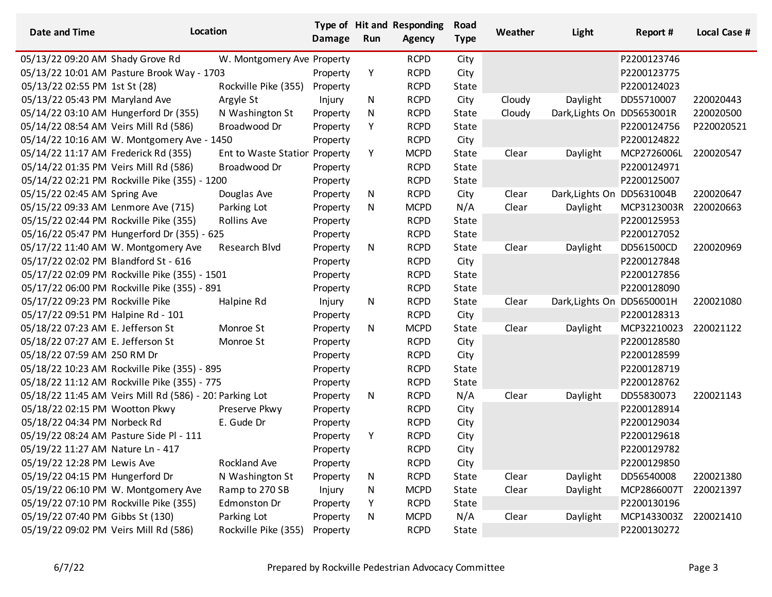| <b>Date and Time</b>                        | Location                                                |                               | <b>Damage</b> | Run | Type of Hit and Responding<br><b>Agency</b> | Road<br><b>Type</b> | Weather | Light                      | Report #    | <b>Local Case #</b> |
|---------------------------------------------|---------------------------------------------------------|-------------------------------|---------------|-----|---------------------------------------------|---------------------|---------|----------------------------|-------------|---------------------|
| 05/13/22 09:20 AM Shady Grove Rd            |                                                         | W. Montgomery Ave Property    |               |     | <b>RCPD</b>                                 | City                |         |                            | P2200123746 |                     |
|                                             | 05/13/22 10:01 AM Pasture Brook Way - 1703              |                               | Property      | Υ   | <b>RCPD</b>                                 | City                |         |                            | P2200123775 |                     |
| 05/13/22 02:55 PM 1st St (28)               |                                                         | Rockville Pike (355)          | Property      |     | <b>RCPD</b>                                 | State               |         |                            | P2200124023 |                     |
| 05/13/22 05:43 PM Maryland Ave              |                                                         | Argyle St                     | Injury        | N   | <b>RCPD</b>                                 | City                | Cloudy  | Daylight                   | DD55710007  | 220020443           |
|                                             | 05/14/22 03:10 AM Hungerford Dr (355)                   | N Washington St               | Property      | N   | <b>RCPD</b>                                 | State               | Cloudy  | Dark, Lights On            | DD5653001R  | 220020500           |
| 05/14/22 08:54 AM Veirs Mill Rd (586)       |                                                         | Broadwood Dr                  | Property      | Y   | <b>RCPD</b>                                 | State               |         |                            | P2200124756 | P220020521          |
|                                             | 05/14/22 10:16 AM W. Montgomery Ave - 1450              |                               | Property      |     | <b>RCPD</b>                                 | City                |         |                            | P2200124822 |                     |
| 05/14/22 11:17 AM Frederick Rd (355)        |                                                         | Ent to Waste Statior Property |               | Y   | <b>MCPD</b>                                 | State               | Clear   | Daylight                   | MCP2726006L | 220020547           |
| 05/14/22 01:35 PM Veirs Mill Rd (586)       |                                                         | Broadwood Dr                  | Property      |     | <b>RCPD</b>                                 | State               |         |                            | P2200124971 |                     |
|                                             | 05/14/22 02:21 PM Rockville Pike (355) - 1200           |                               | Property      |     | <b>RCPD</b>                                 | State               |         |                            | P2200125007 |                     |
| 05/15/22 02:45 AM Spring Ave                |                                                         | Douglas Ave                   | Property      | N   | <b>RCPD</b>                                 | City                | Clear   | Dark, Lights On DD5631004B |             | 220020647           |
| 05/15/22 09:33 AM Lenmore Ave (715)         |                                                         | Parking Lot                   | Property      | N   | <b>MCPD</b>                                 | N/A                 | Clear   | Daylight                   | MCP3123003R | 220020663           |
|                                             | 05/15/22 02:44 PM Rockville Pike (355)                  | Rollins Ave                   | Property      |     | <b>RCPD</b>                                 | State               |         |                            | P2200125953 |                     |
| 05/16/22 05:47 PM Hungerford Dr (355) - 625 |                                                         |                               | Property      |     | <b>RCPD</b>                                 | State               |         |                            | P2200127052 |                     |
|                                             | 05/17/22 11:40 AM W. Montgomery Ave                     | Research Blvd                 | Property      | N   | <b>RCPD</b>                                 | State               | Clear   | Daylight                   | DD561500CD  | 220020969           |
| 05/17/22 02:02 PM Blandford St - 616        |                                                         |                               | Property      |     | <b>RCPD</b>                                 | City                |         |                            | P2200127848 |                     |
|                                             | 05/17/22 02:09 PM Rockville Pike (355) - 1501           |                               | Property      |     | <b>RCPD</b>                                 | State               |         |                            | P2200127856 |                     |
|                                             | 05/17/22 06:00 PM Rockville Pike (355) - 891            |                               | Property      |     | <b>RCPD</b>                                 | State               |         |                            | P2200128090 |                     |
| 05/17/22 09:23 PM Rockville Pike            |                                                         | Halpine Rd                    | Injury        | N   | <b>RCPD</b>                                 | State               | Clear   | Dark, Lights On            | DD5650001H  | 220021080           |
| 05/17/22 09:51 PM Halpine Rd - 101          |                                                         |                               | Property      |     | <b>RCPD</b>                                 | City                |         |                            | P2200128313 |                     |
| 05/18/22 07:23 AM E. Jefferson St           |                                                         | Monroe St                     | Property      | N   | <b>MCPD</b>                                 | State               | Clear   | Daylight                   | MCP32210023 | 220021122           |
| 05/18/22 07:27 AM E. Jefferson St           |                                                         | Monroe St                     | Property      |     | <b>RCPD</b>                                 | City                |         |                            | P2200128580 |                     |
| 05/18/22 07:59 AM 250 RM Dr                 |                                                         |                               | Property      |     | <b>RCPD</b>                                 | City                |         |                            | P2200128599 |                     |
|                                             | 05/18/22 10:23 AM Rockville Pike (355) - 895            |                               | Property      |     | <b>RCPD</b>                                 | State               |         |                            | P2200128719 |                     |
|                                             | 05/18/22 11:12 AM Rockville Pike (355) - 775            |                               | Property      |     | <b>RCPD</b>                                 | State               |         |                            | P2200128762 |                     |
|                                             | 05/18/22 11:45 AM Veirs Mill Rd (586) - 201 Parking Lot |                               | Property      | N   | <b>RCPD</b>                                 | N/A                 | Clear   | Daylight                   | DD55830073  | 220021143           |
| 05/18/22 02:15 PM Wootton Pkwy              |                                                         | Preserve Pkwy                 | Property      |     | <b>RCPD</b>                                 | City                |         |                            | P2200128914 |                     |
| 05/18/22 04:34 PM Norbeck Rd                |                                                         | E. Gude Dr                    | Property      |     | <b>RCPD</b>                                 | City                |         |                            | P2200129034 |                     |
|                                             | 05/19/22 08:24 AM Pasture Side Pl - 111                 |                               | Property      | Υ   | <b>RCPD</b>                                 | City                |         |                            | P2200129618 |                     |
| 05/19/22 11:27 AM Nature Ln - 417           |                                                         |                               | Property      |     | <b>RCPD</b>                                 | City                |         |                            | P2200129782 |                     |
| 05/19/22 12:28 PM Lewis Ave                 |                                                         | Rockland Ave                  | Property      |     | <b>RCPD</b>                                 | City                |         |                            | P2200129850 |                     |
| 05/19/22 04:15 PM Hungerford Dr             |                                                         | N Washington St               | Property      | N   | <b>RCPD</b>                                 | State               | Clear   | Daylight                   | DD56540008  | 220021380           |
|                                             | 05/19/22 06:10 PM W. Montgomery Ave                     | Ramp to 270 SB                | Injury        | N   | <b>MCPD</b>                                 | State               | Clear   | Daylight                   | MCP2866007T | 220021397           |
|                                             | 05/19/22 07:10 PM Rockville Pike (355)                  | Edmonston Dr                  | Property      | Y   | <b>RCPD</b>                                 | State               |         |                            | P2200130196 |                     |
| 05/19/22 07:40 PM Gibbs St (130)            |                                                         | Parking Lot                   | Property      | N   | <b>MCPD</b>                                 | N/A                 | Clear   | Daylight                   | MCP1433003Z | 220021410           |
| 05/19/22 09:02 PM Veirs Mill Rd (586)       |                                                         | Rockville Pike (355)          | Property      |     | <b>RCPD</b>                                 | State               |         |                            | P2200130272 |                     |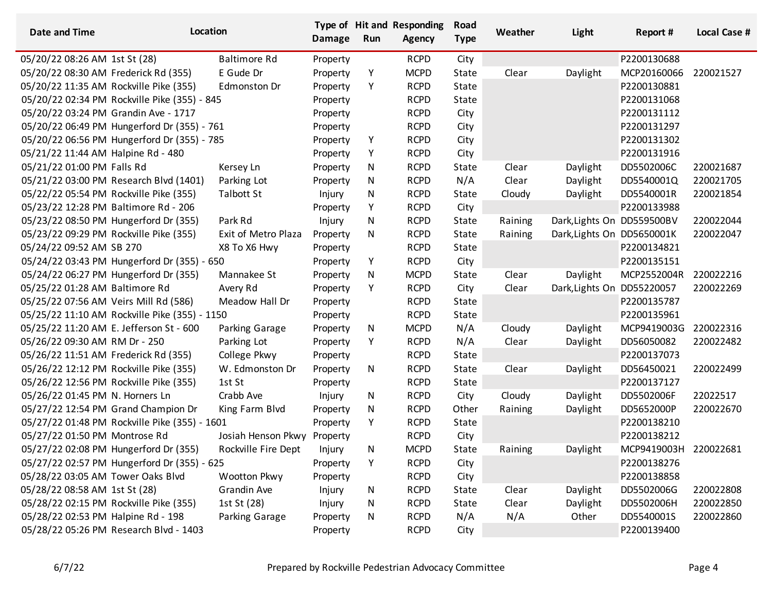| <b>Date and Time</b>                  | Location                                      |                     | <b>Damage</b> | Run | Type of Hit and Responding<br><b>Agency</b> | Road<br><b>Type</b> | Weather | Light                      | Report #    | <b>Local Case #</b> |
|---------------------------------------|-----------------------------------------------|---------------------|---------------|-----|---------------------------------------------|---------------------|---------|----------------------------|-------------|---------------------|
| 05/20/22 08:26 AM 1st St (28)         |                                               | <b>Baltimore Rd</b> | Property      |     | <b>RCPD</b>                                 | City                |         |                            | P2200130688 |                     |
| 05/20/22 08:30 AM Frederick Rd (355)  |                                               | E Gude Dr           | Property      | Υ   | <b>MCPD</b>                                 | State               | Clear   | Daylight                   | MCP20160066 | 220021527           |
|                                       | 05/20/22 11:35 AM Rockville Pike (355)        | Edmonston Dr        | Property      | Υ   | <b>RCPD</b>                                 | State               |         |                            | P2200130881 |                     |
|                                       | 05/20/22 02:34 PM Rockville Pike (355) - 845  |                     | Property      |     | <b>RCPD</b>                                 | State               |         |                            | P2200131068 |                     |
|                                       | 05/20/22 03:24 PM Grandin Ave - 1717          |                     | Property      |     | <b>RCPD</b>                                 | City                |         |                            | P2200131112 |                     |
|                                       | 05/20/22 06:49 PM Hungerford Dr (355) - 761   |                     | Property      |     | <b>RCPD</b>                                 | City                |         |                            | P2200131297 |                     |
|                                       | 05/20/22 06:56 PM Hungerford Dr (355) - 785   |                     | Property      | Υ   | <b>RCPD</b>                                 | City                |         |                            | P2200131302 |                     |
| 05/21/22 11:44 AM Halpine Rd - 480    |                                               |                     | Property      | Y   | <b>RCPD</b>                                 | City                |         |                            | P2200131916 |                     |
| 05/21/22 01:00 PM Falls Rd            |                                               | Kersey Ln           | Property      | N   | <b>RCPD</b>                                 | State               | Clear   | Daylight                   | DD5502006C  | 220021687           |
|                                       | 05/21/22 03:00 PM Research Blvd (1401)        | Parking Lot         | Property      | N   | <b>RCPD</b>                                 | N/A                 | Clear   | Daylight                   | DD5540001Q  | 220021705           |
|                                       | 05/22/22 05:54 PM Rockville Pike (355)        | Talbott St          | Injury        | N   | <b>RCPD</b>                                 | State               | Cloudy  | Daylight                   | DD5540001R  | 220021854           |
|                                       | 05/23/22 12:28 PM Baltimore Rd - 206          |                     | Property      | Υ   | <b>RCPD</b>                                 | City                |         |                            | P2200133988 |                     |
|                                       | 05/23/22 08:50 PM Hungerford Dr (355)         | Park Rd             | Injury        | N   | <b>RCPD</b>                                 | State               | Raining | Dark, Lights On DD559500BV |             | 220022044           |
|                                       | 05/23/22 09:29 PM Rockville Pike (355)        | Exit of Metro Plaza | Property      | N   | <b>RCPD</b>                                 | State               | Raining | Dark, Lights On DD5650001K |             | 220022047           |
| 05/24/22 09:52 AM SB 270              |                                               | X8 To X6 Hwy        | Property      |     | <b>RCPD</b>                                 | State               |         |                            | P2200134821 |                     |
|                                       | 05/24/22 03:43 PM Hungerford Dr (355) - 650   |                     | Property      | Υ   | <b>RCPD</b>                                 | City                |         |                            | P2200135151 |                     |
|                                       | 05/24/22 06:27 PM Hungerford Dr (355)         | Mannakee St         | Property      | N   | <b>MCPD</b>                                 | State               | Clear   | Daylight                   | MCP2552004R | 220022216           |
| 05/25/22 01:28 AM Baltimore Rd        |                                               | Avery Rd            | Property      | Y   | <b>RCPD</b>                                 | City                | Clear   | Dark, Lights On DD55220057 |             | 220022269           |
| 05/25/22 07:56 AM Veirs Mill Rd (586) |                                               | Meadow Hall Dr      | Property      |     | <b>RCPD</b>                                 | State               |         |                            | P2200135787 |                     |
|                                       | 05/25/22 11:10 AM Rockville Pike (355) - 1150 |                     | Property      |     | <b>RCPD</b>                                 | State               |         |                            | P2200135961 |                     |
|                                       | 05/25/22 11:20 AM E. Jefferson St - 600       | Parking Garage      | Property      | N   | <b>MCPD</b>                                 | N/A                 | Cloudy  | Daylight                   | MCP9419003G | 220022316           |
| 05/26/22 09:30 AM RM Dr - 250         |                                               | Parking Lot         | Property      | Υ   | <b>RCPD</b>                                 | N/A                 | Clear   | Daylight                   | DD56050082  | 220022482           |
| 05/26/22 11:51 AM Frederick Rd (355)  |                                               | College Pkwy        | Property      |     | <b>RCPD</b>                                 | State               |         |                            | P2200137073 |                     |
|                                       | 05/26/22 12:12 PM Rockville Pike (355)        | W. Edmonston Dr     | Property      | N   | <b>RCPD</b>                                 | State               | Clear   | Daylight                   | DD56450021  | 220022499           |
|                                       | 05/26/22 12:56 PM Rockville Pike (355)        | 1st St              | Property      |     | <b>RCPD</b>                                 | State               |         |                            | P2200137127 |                     |
| 05/26/22 01:45 PM N. Horners Ln       |                                               | Crabb Ave           | Injury        | N   | <b>RCPD</b>                                 | City                | Cloudy  | Daylight                   | DD5502006F  | 22022517            |
|                                       | 05/27/22 12:54 PM Grand Champion Dr           | King Farm Blvd      | Property      | N   | <b>RCPD</b>                                 | Other               | Raining | Daylight                   | DD5652000P  | 220022670           |
|                                       | 05/27/22 01:48 PM Rockville Pike (355) - 1601 |                     | Property      | Υ   | <b>RCPD</b>                                 | State               |         |                            | P2200138210 |                     |
| 05/27/22 01:50 PM Montrose Rd         |                                               | Josiah Henson Pkwy  | Property      |     | <b>RCPD</b>                                 | City                |         |                            | P2200138212 |                     |
|                                       | 05/27/22 02:08 PM Hungerford Dr (355)         | Rockville Fire Dept | Injury        | N   | <b>MCPD</b>                                 | State               | Raining | Daylight                   | MCP9419003H | 220022681           |
|                                       | 05/27/22 02:57 PM Hungerford Dr (355) - 625   |                     | Property      | Υ   | <b>RCPD</b>                                 | City                |         |                            | P2200138276 |                     |
| 05/28/22 03:05 AM Tower Oaks Blvd     |                                               | Wootton Pkwy        | Property      |     | <b>RCPD</b>                                 | City                |         |                            | P2200138858 |                     |
| 05/28/22 08:58 AM 1st St (28)         |                                               | Grandin Ave         | Injury        | N   | <b>RCPD</b>                                 | State               | Clear   | Daylight                   | DD5502006G  | 220022808           |
|                                       | 05/28/22 02:15 PM Rockville Pike (355)        | 1st St (28)         | Injury        | N   | <b>RCPD</b>                                 | State               | Clear   | Daylight                   | DD5502006H  | 220022850           |
| 05/28/22 02:53 PM Halpine Rd - 198    |                                               | Parking Garage      | Property      | N   | <b>RCPD</b>                                 | N/A                 | N/A     | Other                      | DD5540001S  | 220022860           |
|                                       | 05/28/22 05:26 PM Research Blvd - 1403        |                     | Property      |     | <b>RCPD</b>                                 | City                |         |                            | P2200139400 |                     |